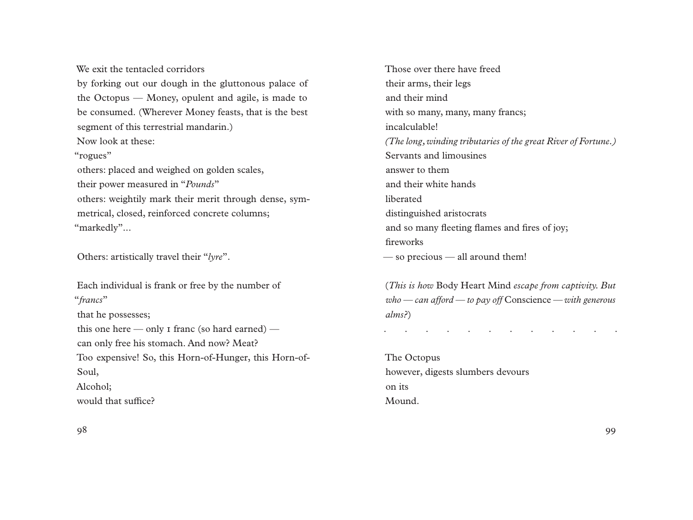We exit the tentacled corridors by forking out our dough in the gluttonous palace of the Octopus — Money, opulent and agile, is made to be consumed. (Wherever Money feasts, that is the best segment of this terrestrial mandarin.) Now look at these: "rogues"

others: placed and weighed on golden scales, their power measured in "*Pounds*" others: weightily mark their merit through dense, symmetrical, closed, reinforced concrete columns;

Others: artistically travel their "*lyre*".

"markedly"...

Each individual is frank or free by the number of "*francs*" that he possesses; this one here — only 1 franc (so hard earned) can only free his stomach. And now? Meat? Too expensive! So, this Horn-of-Hunger, this Horn-of-Soul, Alcohol; would that suffice?

Those over there have freed their arms, their legs and their mind with so many, many, many francs; incalculable! *(The long, winding tributaries of the great River of Fortune.)*  Servants and limousines answer to them and their white hands liberated distinguished aristocrats and so many fleeting flames and fires of joy; fireworks — so precious — all around them!

(*This is how* Body Heart Mind *escape from captivity. But who — can afford — to pay off* Conscience *— with generous alms?*)

. . . . . . . . . . . .

The Octopus however, digests slumbers devours on its Mound.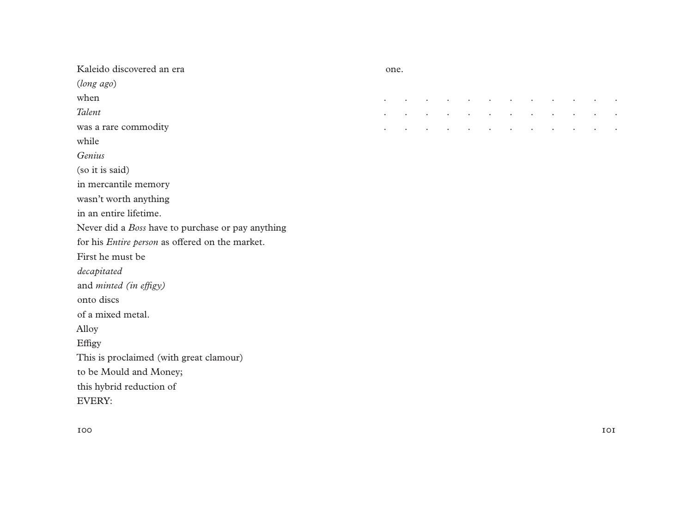| Kaleido discovered an era                              | one. |  |  |  |  |  |  |  |  |  |  |
|--------------------------------------------------------|------|--|--|--|--|--|--|--|--|--|--|
| (long ago)                                             |      |  |  |  |  |  |  |  |  |  |  |
| when                                                   |      |  |  |  |  |  |  |  |  |  |  |
| <b>Talent</b>                                          |      |  |  |  |  |  |  |  |  |  |  |
| was a rare commodity                                   |      |  |  |  |  |  |  |  |  |  |  |
| while                                                  |      |  |  |  |  |  |  |  |  |  |  |
| Genius                                                 |      |  |  |  |  |  |  |  |  |  |  |
| (so it is said)                                        |      |  |  |  |  |  |  |  |  |  |  |
| in mercantile memory                                   |      |  |  |  |  |  |  |  |  |  |  |
| wasn't worth anything                                  |      |  |  |  |  |  |  |  |  |  |  |
| in an entire lifetime.                                 |      |  |  |  |  |  |  |  |  |  |  |
| Never did a Boss have to purchase or pay anything      |      |  |  |  |  |  |  |  |  |  |  |
| for his <i>Entire person</i> as offered on the market. |      |  |  |  |  |  |  |  |  |  |  |
| First he must be                                       |      |  |  |  |  |  |  |  |  |  |  |
| decapitated                                            |      |  |  |  |  |  |  |  |  |  |  |
| and minted (in effigy)                                 |      |  |  |  |  |  |  |  |  |  |  |
| onto discs                                             |      |  |  |  |  |  |  |  |  |  |  |
| of a mixed metal.                                      |      |  |  |  |  |  |  |  |  |  |  |
| Alloy                                                  |      |  |  |  |  |  |  |  |  |  |  |
| Effigy                                                 |      |  |  |  |  |  |  |  |  |  |  |
| This is proclaimed (with great clamour)                |      |  |  |  |  |  |  |  |  |  |  |
| to be Mould and Money;                                 |      |  |  |  |  |  |  |  |  |  |  |
| this hybrid reduction of                               |      |  |  |  |  |  |  |  |  |  |  |
| <b>EVERY:</b>                                          |      |  |  |  |  |  |  |  |  |  |  |
|                                                        |      |  |  |  |  |  |  |  |  |  |  |

### 100 101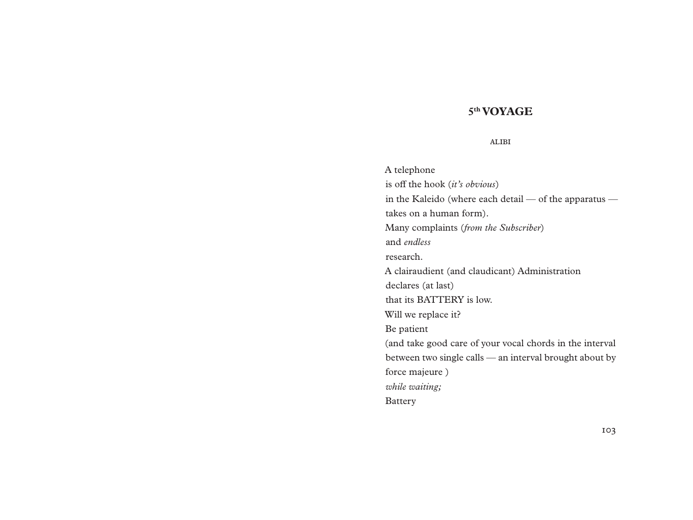# **5th VOYAGE**

### ALIBI

A telephone is off the hook (*it's obvious*) in the Kaleido (where each detail — of the apparatus takes on a human form). Many complaints (*from the Subscriber*) and *endless* research. A clairaudient (and claudicant) Administration declares (at last) that its BATTERY is low. Will we replace it? Be patient (and take good care of your vocal chords in the interval between two single calls — an interval brought about by force majeure ) *while waiting;* Battery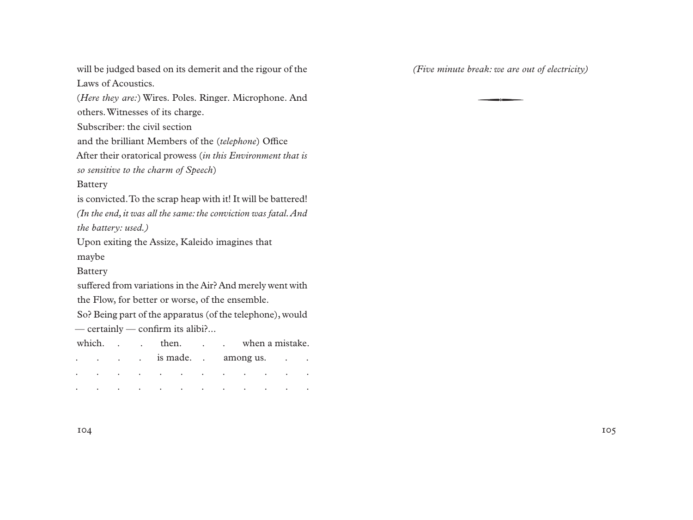will be judged based on its demerit and the rigour of the *(Five minute break: we are out of electricity)* Laws of Acoustics. (*Here they are:*) Wires. Poles. Ringer. Microphone. And others. Witnesses of its charge. Subscriber: the civil section and the brilliant Members of the (*telephone*) Office After their oratorical prowess (*in this Environment that is so sensitive to the charm of Speech*) Battery is convicted. To the scrap heap with it! It will be battered! *(In the end, it was all the same: the conviction was fatal. And the battery: used.)* Upon exiting the Assize, Kaleido imagines that maybe Battery suffered from variations in the Air? And merely went with the Flow, for better or worse, of the ensemble. So? Being part of the apparatus (of the telephone), would — certainly — confirm its alibi?... which. . . then. . . when a mistake. . . . . is made. . among us. . . . . . . . . . . . . . .

. . . . . . . . . . . .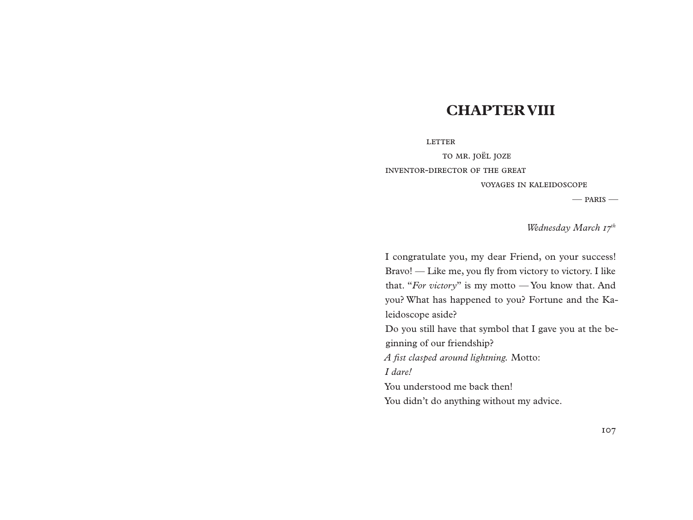# **CHAPTER VIII**

### LETTER

 TO MR. JOËL JOZE INVENTOR-DIRECTOR OF THE GREAT VOYAGES IN KALEIDOSCOPE

 $-$  PARIS  $-$ 

*Wednesday March 17th*

I congratulate you, my dear Friend, on your success! Bravo! — Like me, you fly from victory to victory. I like that. "*For victory*" is my motto — You know that. And you? What has happened to you? Fortune and the Kaleidoscope aside?

Do you still have that symbol that I gave you at the beginning of our friendship?

*A fist clasped around lightning.* Motto:

*I dare!*

You understood me back then! You didn't do anything without my advice.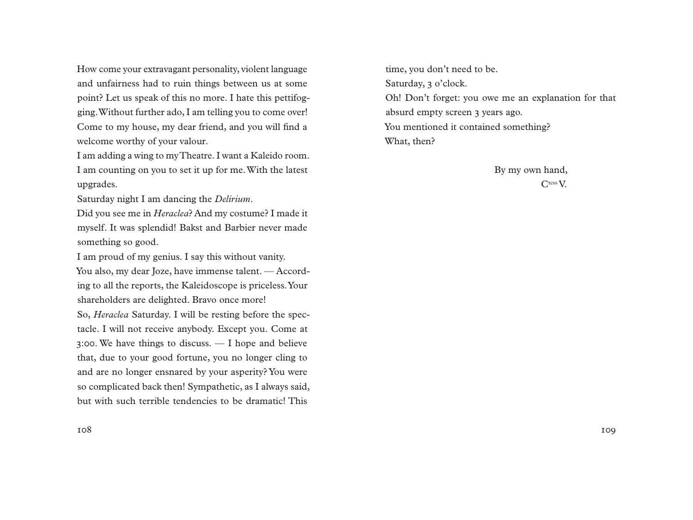How come your extravagant personality, violent language and unfairness had to ruin things between us at some point? Let us speak of this no more. I hate this pettifogging. Without further ado, I am telling you to come over! Come to my house, my dear friend, and you will find a welcome worthy of your valour.

I am adding a wing to my Theatre. I want a Kaleido room. I am counting on you to set it up for me. With the latest upgrades.

Saturday night I am dancing the *Delirium*.

Did you see me in *Heraclea*? And my costume? I made it myself. It was splendid! Bakst and Barbier never made something so good.

I am proud of my genius. I say this without vanity. You also, my dear Joze, have immense talent. — According to all the reports, the Kaleidoscope is priceless. Your shareholders are delighted. Bravo once more!

So, *Heraclea* Saturday. I will be resting before the spectacle. I will not receive anybody. Except you. Come at 3:00. We have things to discuss. — I hope and believe that, due to your good fortune, you no longer cling to and are no longer ensnared by your asperity? You were so complicated back then! Sympathetic, as I always said, but with such terrible tendencies to be dramatic! This

time, you don't need to be. Saturday, 3 o'clock. Oh! Don't forget: you owe me an explanation for that absurd empty screen 3 years ago. You mentioned it contained something? What, then?

> By my own hand,  $C<sup>t</sup>$ css  $V<sub>t</sub>$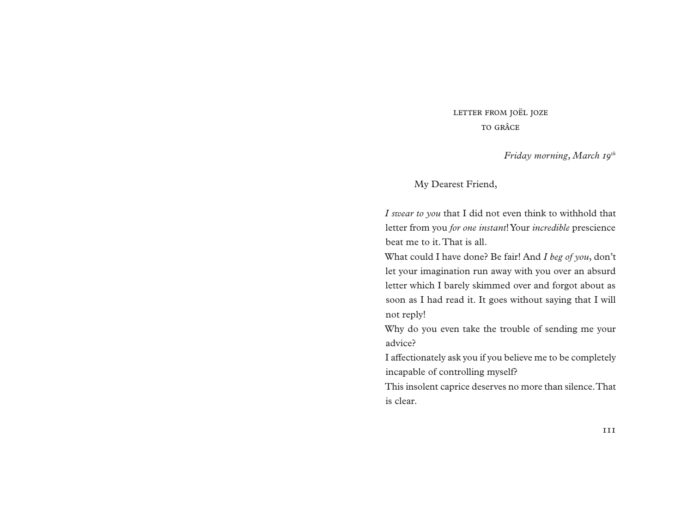LETTER FROM JOËL JOZE TO GRÂCE

## *Friday morning, March 19th*

My Dearest Friend,

*I swear to you* that I did not even think to withhold that letter from you *for one instant*! Your *incredible* prescience beat me to it. That is all.

What could I have done? Be fair! And *I beg of you*, don't let your imagination run away with you over an absurd letter which I barely skimmed over and forgot about as soon as I had read it. It goes without saying that I will not reply!

Why do you even take the trouble of sending me your advice?

I affectionately ask you if you believe me to be completely incapable of controlling myself?

This insolent caprice deserves no more than silence. That is clear.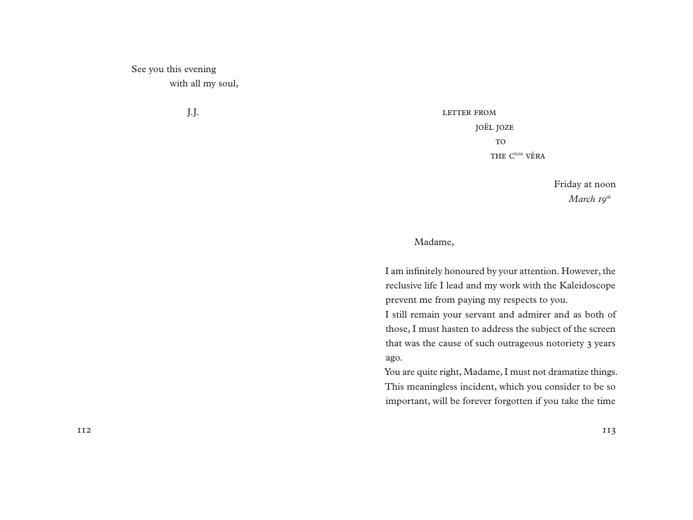See you this evening with all my soul,



J.J. LETTER FROM JOËL JOZE TO THE C<sup>tcss</sup> VÉRA

> Friday at noon *March 19th*

## Madame,

I am infinitely honoured by your attention. However, the reclusive life I lead and my work with the Kaleidoscope prevent me from paying my respects to you.

I still remain your servant and admirer and as both of those, I must hasten to address the subject of the screen that was the cause of such outrageous notoriety 3 years ago.

You are quite right, Madame, I must not dramatize things. This meaningless incident, which you consider to be so important, will be forever forgotten if you take the time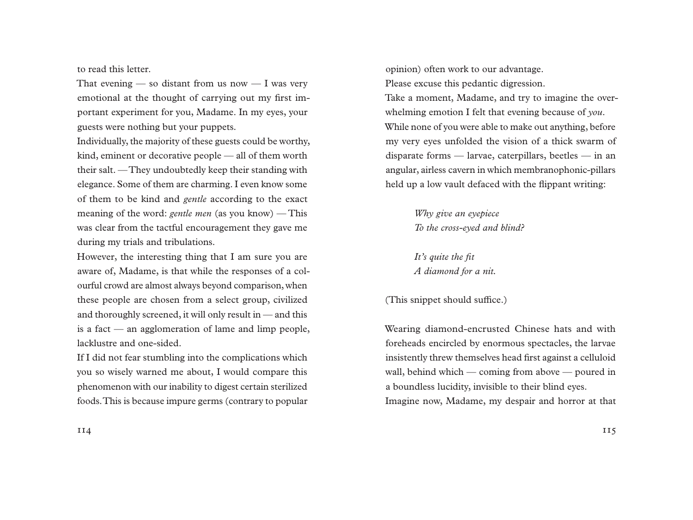to read this letter.

That evening — so distant from us now — I was very emotional at the thought of carrying out my first important experiment for you, Madame. In my eyes, your guests were nothing but your puppets.

Individually, the majority of these guests could be worthy, kind, eminent or decorative people — all of them worth their salt. — They undoubtedly keep their standing with elegance. Some of them are charming. I even know some of them to be kind and *gentle* according to the exact meaning of the word: *gentle men* (as you know) — This was clear from the tactful encouragement they gave me during my trials and tribulations.

However, the interesting thing that I am sure you are aware of, Madame, is that while the responses of a colourful crowd are almost always beyond comparison, when these people are chosen from a select group, civilized and thoroughly screened, it will only result in  $-$  and this is a fact  $-$  an agglomeration of lame and limp people, lacklustre and one-sided.

If I did not fear stumbling into the complications which you so wisely warned me about, I would compare this phenomenon with our inability to digest certain sterilized foods. This is because impure germs (contrary to popular

opinion) often work to our advantage. Please excuse this pedantic digression.

Take a moment, Madame, and try to imagine the overwhelming emotion I felt that evening because of *you*. While none of you were able to make out anything, before my very eyes unfolded the vision of a thick swarm of disparate forms — larvae, caterpillars, beetles — in an angular, airless cavern in which membranophonic-pillars held up a low vault defaced with the flippant writing:

> *Why give an eyepiece To the cross-eyed and blind?*

*It's quite the fit A diamond for a nit.*

(This snippet should suffice.)

Wearing diamond-encrusted Chinese hats and with foreheads encircled by enormous spectacles, the larvae insistently threw themselves head first against a celluloid wall, behind which — coming from above — poured in a boundless lucidity, invisible to their blind eyes. Imagine now, Madame, my despair and horror at that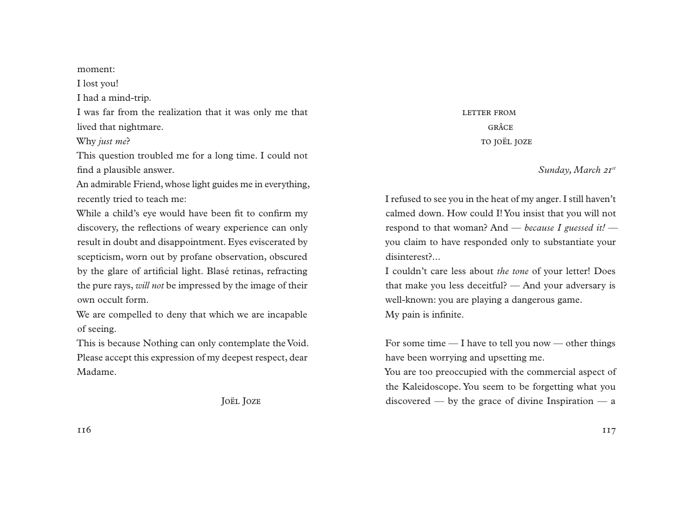moment:

I lost you!

I had a mind-trip.

I was far from the realization that it was only me that lived that nightmare.

Why *just me*?

This question troubled me for a long time. I could not find a plausible answer.

An admirable Friend, whose light guides me in everything, recently tried to teach me:

While a child's eye would have been fit to confirm my discovery, the reflections of weary experience can only result in doubt and disappointment. Eyes eviscerated by scepticism, worn out by profane observation, obscured by the glare of artificial light. Blasé retinas, refracting the pure rays, *will not* be impressed by the image of their own occult form.

We are compelled to deny that which we are incapable of seeing.

This is because Nothing can only contemplate the Void. Please accept this expression of my deepest respect, dear Madame.

JOËL JOZE

LETTER FROM GRÂCE TO JOËL JOZE

*Sunday, March 21st*

I refused to see you in the heat of my anger. I still haven't calmed down. How could I! You insist that you will not respond to that woman? And — *because I guessed it!* you claim to have responded only to substantiate your disinterest?...

I couldn't care less about *the tone* of your letter! Does that make you less deceitful? — And your adversary is well-known: you are playing a dangerous game. My pain is infinite.

For some time  $-$  I have to tell you now  $-$  other things have been worrying and upsetting me.

You are too preoccupied with the commercial aspect of the Kaleidoscope. You seem to be forgetting what you discovered — by the grace of divine Inspiration — a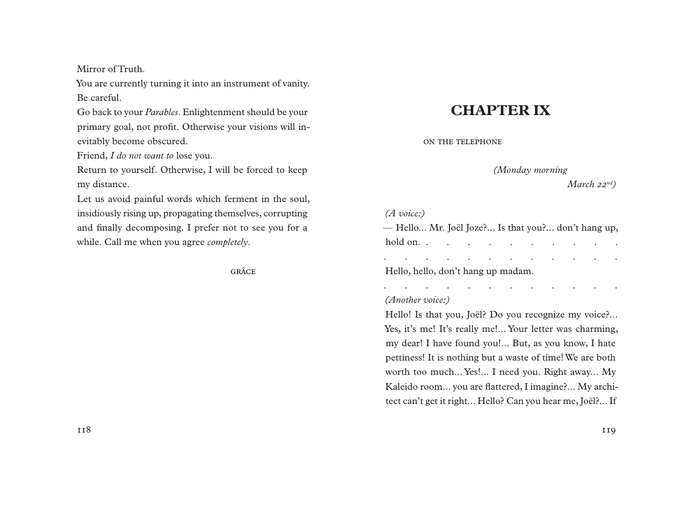Mirror of Truth.

You are currently turning it into an instrument of vanity. Be careful.

Go back to your *Parables*. Enlightenment should be your primary goal, not profit. Otherwise your visions will inevitably become obscured.

Friend, *I do not want to* lose you.

Return to yourself. Otherwise, I will be forced to keep my distance.

Let us avoid painful words which ferment in the soul, insidiously rising up, propagating themselves, corrupting and finally decomposing. I prefer not to see you for a while. Call me when you agree *completely*.

GRÂCE

# **CHAPTER IX**

ON THE TELEPHONE

| (Monday morning |  |
|-----------------|--|
|                 |  |

*March 22nd)*

#### *(A voice:)*

| — Hello Mr. Joël Joze? Is that you? don't hang up,                                                                                                                                                                                 |  |  |  |  |  |  |  |  |  |  |
|------------------------------------------------------------------------------------------------------------------------------------------------------------------------------------------------------------------------------------|--|--|--|--|--|--|--|--|--|--|
| $hold on.$ $\ldots$ $\ldots$ $\ldots$ $\ldots$ $\ldots$                                                                                                                                                                            |  |  |  |  |  |  |  |  |  |  |
| $\bullet$ . The contract of the contract of the contract of the contract of the contract of the contract of the contract of the contract of the contract of the contract of the contract of the contract of the contract of the co |  |  |  |  |  |  |  |  |  |  |
| Hello, hello, don't hang up madam.                                                                                                                                                                                                 |  |  |  |  |  |  |  |  |  |  |

. . . . . . . . . . . .

# *(Another voice:)*

Hello! Is that you, Joël? Do you recognize my voice?... Yes, it's me! It's really me!... Your letter was charming, my dear! I have found you!... But, as you know, I hate pettiness! It is nothing but a waste of time! We are both worth too much... Yes!... I need you. Right away... My Kaleido room... you are flattered, I imagine?... My architect can't get it right... Hello? Can you hear me, Joël?... If